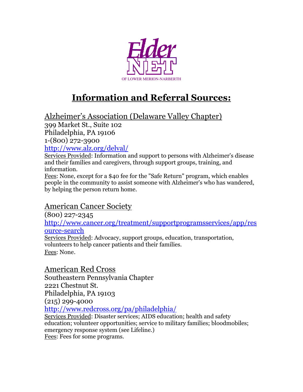

# **Information and Referral Sources:**

Alzheimer's Association (Delaware Valley Chapter)

399 Market St., Suite 102

Philadelphia, PA 19106

1-(800) 272-3900

<http://www.alz.org/delval/>

Services Provided: Information and support to persons with Alzheimer's disease and their families and caregivers, through support groups, training, and information.

Fees: None, except for a \$40 fee for the "Safe Return" program, which enables people in the community to assist someone with Alzheimer's who has wandered, by helping the person return home.

### American Cancer Society

(800) 227-2345

[http://www.cancer.org/treatment/supportprogramsservices/app/res](http://www.cancer.org/treatment/supportprogramsservices/app/resource-search) [ource-search](http://www.cancer.org/treatment/supportprogramsservices/app/resource-search)

Services Provided: Advocacy, support groups, education, transportation, volunteers to help cancer patients and their families. Fees: None.

American Red Cross

Southeastern Pennsylvania Chapter 2221 Chestnut St. Philadelphia, PA 19103 (215) 299-4000

<http://www.redcross.org/pa/philadelphia/>

Services Provided: Disaster services; AIDS education; health and safety education; volunteer opportunities; service to military families; bloodmobiles; emergency response system (see Lifeline.)

Fees: Fees for some programs.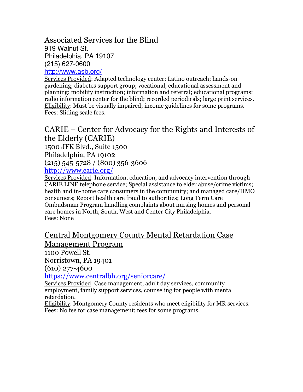### Associated Services for the Blind

919 Walnut St. Philadelphia, PA 19107 (215) 627-0600

<http://www.asb.org/>

Services Provided: Adapted technology center; Latino outreach; hands-on gardening; diabetes support group; vocational, educational assessment and planning; mobility instruction; information and referral; educational programs; radio information center for the blind; recorded periodicals; large print services. Eligibility: Must be visually impaired; income guidelines for some programs. Fees: Sliding scale fees.

## CARIE – Center for Advocacy for the Rights and Interests of the Elderly (CARIE)

1500 JFK Blvd., Suite 1500 Philadelphia, PA 19102 (215) 545-5728 / (800) 356-3606 <http://www.carie.org/>

Services Provided: Information, education, and advocacy intervention through CARIE LINE telephone service; Special assistance to elder abuse/crime victims; health and in-home care consumers in the community; and managed care/HMO consumers; Report health care fraud to authorities; Long Term Care Ombudsman Program handling complaints about nursing homes and personal care homes in North, South, West and Center City Philadelphia. Fees: None

### Central Montgomery County Mental Retardation Case Management Program

1100 Powell St.

Norristown, PA 19401

(610) 277-4600

<https://www.centralbh.org/seniorcare/>

Services Provided: Case management, adult day services, community employment, family support services, counseling for people with mental retardation.

Eligibility: Montgomery County residents who meet eligibility for MR services. Fees: No fee for case management; fees for some programs.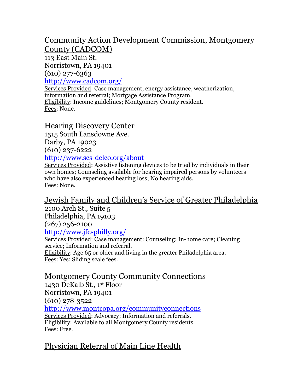# Community Action Development Commission, Montgomery

County (CADCOM)

113 East Main St.

Norristown, PA 19401  $(610)$  277-6363

<http://www.cadcom.org/>

Services Provided: Case management, energy assistance, weatherization, information and referral; Mortgage Assistance Program. Eligibility: Income guidelines; Montgomery County resident. Fees: None.

#### Hearing Discovery Center

1515 South Lansdowne Ave. Darby, PA 19023 (610) 237-6222 <http://www.scs-delco.org/about>

Services Provided: Assistive listening devices to be tried by individuals in their own homes; Counseling available for hearing impaired persons by volunteers who have also experienced hearing loss; No hearing aids. Fees: None.

#### Jewish Family and Children's Service of Greater Philadelphia 2100 Arch St., Suite 5

Philadelphia, PA 19103 (267) 256-2100 <http://www.jfcsphilly.org/>

Services Provided: Case management: Counseling; In-home care; Cleaning service; Information and referral. Eligibility: Age 65 or older and living in the greater Philadelphia area.

Fees: Yes; Sliding scale fees.

## Montgomery County Community Connections

1430 DeKalb St., 1st Floor Norristown, PA 19401 (610) 278-3522 <http://www.montcopa.org/communityconnections> Services Provided: Advocacy; Information and referrals. Eligibility: Available to all Montgomery County residents. Fees: Free.

## Physician Referral of Main Line Health